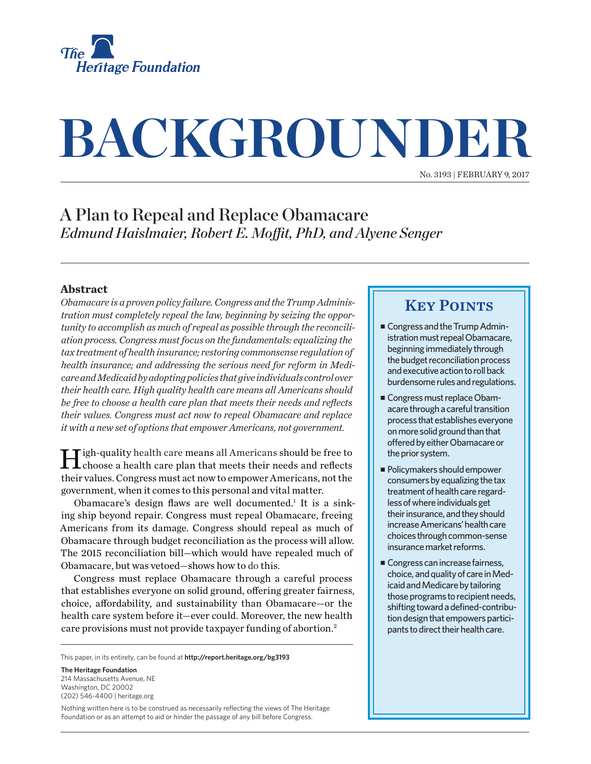

# **BACKGROUNDER**

No. 3193 | February 9, 2017

## A Plan to Repeal and Replace Obamacare *Edmund Haislmaier, Robert E. Moffit, PhD, and Alyene Senger*

#### **Abstract**

*Obamacare is a proven policy failure. Congress and the Trump Administration must completely repeal the law, beginning by seizing the opportunity to accomplish as much of repeal as possible through the reconciliation process. Congress must focus on the fundamentals: equalizing the tax treatment of health insurance; restoring commonsense regulation of health insurance; and addressing the serious need for reform in Medicare and Medicaid by adopting policies that give individuals control over their health care. High quality health care means all Americans should be free to choose a health care plan that meets their needs and reflects their values. Congress must act now to repeal Obamacare and replace it with a new set of options that empower Americans, not government.*

High-quality health care means all Americans should be free to choose a health care plan that meets their needs and reflects their values. Congress must act now to empower Americans, not the government, when it comes to this personal and vital matter.

Obamacare's design flaws are well documented.<sup>1</sup> It is a sinking ship beyond repair. Congress must repeal Obamacare, freeing Americans from its damage. Congress should repeal as much of Obamacare through budget reconciliation as the process will allow. The 2015 reconciliation bill—which would have repealed much of Obamacare, but was vetoed—shows how to do this.

Congress must replace Obamacare through a careful process that establishes everyone on solid ground, offering greater fairness, choice, affordability, and sustainability than Obamacare—or the health care system before it—ever could. Moreover, the new health care provisions must not provide taxpayer funding of abortion.2

This paper, in its entirety, can be found at **http://report.heritage.org/bg3193**

**The Heritage Foundation** 214 Massachusetts Avenue, NF Washington, DC 20002 (202) 546-4400 | [heritage.org](http://www.heritage.org)

Nothing written here is to be construed as necessarily reflecting the views of The Heritage Foundation or as an attempt to aid or hinder the passage of any bill before Congress.

### **KEY POINTS**

- Congress and the Trump Administration must repeal Obamacare, beginning immediately through the budget reconciliation process and executive action to roll back burdensome rules and regulations.
- <sup>n</sup> Congress must replace Obamacare through a careful transition process that establishes everyone on more solid ground than that offered by either Obamacare or the prior system.
- $\blacksquare$  Policymakers should empower consumers by equalizing the tax treatment of health care regardless of where individuals get their insurance, and they should increase Americans' health care choices through common-sense insurance market reforms.
- Congress can increase fairness, choice, and quality of care in Medicaid and Medicare by tailoring those programs to recipient needs, shifting toward a defined-contribution design that empowers participants to direct their health care.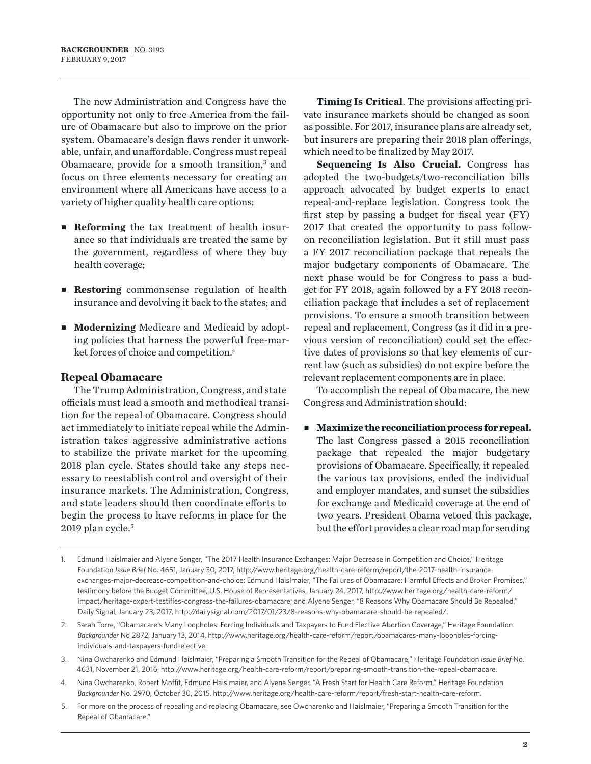The new Administration and Congress have the opportunity not only to free America from the failure of Obamacare but also to improve on the prior system. Obamacare's design flaws render it unworkable, unfair, and unaffordable. Congress must repeal Obamacare, provide for a smooth transition,<sup>3</sup> and focus on three elements necessary for creating an environment where all Americans have access to a variety of higher quality health care options:

- **Reforming** the tax treatment of health insurance so that individuals are treated the same by the government, regardless of where they buy health coverage;
- **Restoring** commonsense regulation of health insurance and devolving it back to the states; and
- **Modernizing** Medicare and Medicaid by adopting policies that harness the powerful free-market forces of choice and competition.4

#### **Repeal Obamacare**

The Trump Administration, Congress, and state officials must lead a smooth and methodical transition for the repeal of Obamacare. Congress should act immediately to initiate repeal while the Administration takes aggressive administrative actions to stabilize the private market for the upcoming 2018 plan cycle. States should take any steps necessary to reestablish control and oversight of their insurance markets. The Administration, Congress, and state leaders should then coordinate efforts to begin the process to have reforms in place for the 2019 plan cycle.5

**Timing Is Critical**. The provisions affecting private insurance markets should be changed as soon as possible. For 2017, insurance plans are already set, but insurers are preparing their 2018 plan offerings, which need to be finalized by May 2017.

**Sequencing Is Also Crucial.** Congress has adopted the two-budgets/two-reconciliation bills approach advocated by budget experts to enact repeal-and-replace legislation. Congress took the first step by passing a budget for fiscal year (FY) 2017 that created the opportunity to pass followon reconciliation legislation. But it still must pass a FY 2017 reconciliation package that repeals the major budgetary components of Obamacare. The next phase would be for Congress to pass a budget for FY 2018, again followed by a FY 2018 reconciliation package that includes a set of replacement provisions. To ensure a smooth transition between repeal and replacement, Congress (as it did in a previous version of reconciliation) could set the effective dates of provisions so that key elements of current law (such as subsidies) do not expire before the relevant replacement components are in place.

To accomplish the repeal of Obamacare, the new Congress and Administration should:

<sup>n</sup> **Maximize the reconciliation process for repeal.** The last Congress passed a 2015 reconciliation package that repealed the major budgetary provisions of Obamacare. Specifically, it repealed the various tax provisions, ended the individual and employer mandates, and sunset the subsidies for exchange and Medicaid coverage at the end of two years. President Obama vetoed this package, but the effort provides a clear road map for sending

- 3. Nina Owcharenko and Edmund Haislmaier, "Preparing a Smooth Transition for the Repeal of Obamacare," Heritage Foundation *Issue Brief* No. 4631, November 21, 2016, <http://www.heritage.org/health-care-reform/report/preparing-smooth-transition-the-repeal-obamacare>.
- 4. Nina Owcharenko, Robert Moffit, Edmund Haislmaier, and Alyene Senger, "A Fresh Start for Health Care Reform," Heritage Foundation *Backgrounder* No. 2970, October 30, 2015, [http://www.heritage.org/health-care-reform/report/fresh-start-health-care-reform](http://www.heritage.org/health-care-reform/report/fresh-start-health-care-reform?_ga=1.84401808.827295810.1476796398).
- 5. For more on the process of repealing and replacing Obamacare, see Owcharenko and Haislmaier, "Preparing a Smooth Transition for the Repeal of Obamacare."

<sup>1.</sup> Edmund Haislmaier and Alyene Senger, "The 2017 Health Insurance Exchanges: Major Decrease in Competition and Choice," Heritage Foundation *Issue Brief* No. 4651, January 30, 2017, [http://www.heritage.org/health-care-reform/report/the-2017-health-insurance](http://www.heritage.org/health-care-reform/report/the-2017-health-insurance-exchanges-major-decrease-competition-and-choice)[exchanges-major-decrease-competition-and-choice](http://www.heritage.org/health-care-reform/report/the-2017-health-insurance-exchanges-major-decrease-competition-and-choice); Edmund Haislmaier, "The Failures of Obamacare: Harmful Effects and Broken Promises," testimony before the Budget Committee, U.S. House of Representatives, January 24, 2017, [http://www.heritage.org/health-care-reform/](http://www.heritage.org/health-care-reform/impact/heritage-expert-testifies-congress-the-failures-obamacare) [impact/heritage-expert-testifies-congress-the-failures-obamacare;](http://www.heritage.org/health-care-reform/impact/heritage-expert-testifies-congress-the-failures-obamacare) and Alyene Senger, "8 Reasons Why Obamacare Should Be Repealed," Daily Signal, January 23, 2017, [http://dailysignal.com/2017/01/23/8-reasons-why-obamacare-should-be-repealed/.](http://dailysignal.com/2017/01/23/8-reasons-why-obamacare-should-be-repealed/)

<sup>2.</sup> Sarah Torre, "Obamacare's Many Loopholes: Forcing Individuals and Taxpayers to Fund Elective Abortion Coverage," Heritage Foundation *Backgrounder* No 2872, January 13, 2014, [http://www.heritage.org/health-care-reform/report/obamacares-many-loopholes-forcing](http://www.heritage.org/health-care-reform/report/obamacares-many-loopholes-forcing-individuals-and-taxpayers-fund-elective)[individuals-and-taxpayers-fund-elective.](http://www.heritage.org/health-care-reform/report/obamacares-many-loopholes-forcing-individuals-and-taxpayers-fund-elective)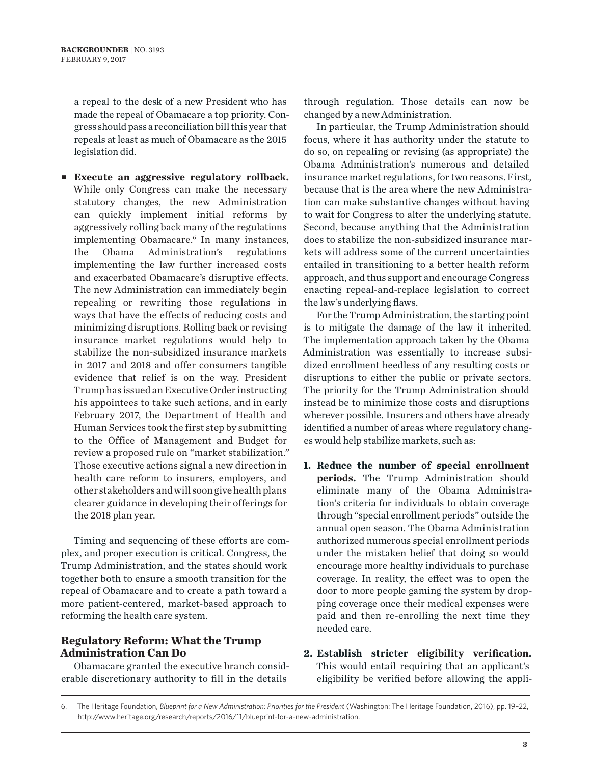a repeal to the desk of a new President who has made the repeal of Obamacare a top priority. Congress should pass a reconciliation bill this year that repeals at least as much of Obamacare as the 2015 legislation did.

<sup>n</sup> **Execute an aggressive regulatory rollback.** While only Congress can make the necessary statutory changes, the new Administration can quickly implement initial reforms by aggressively rolling back many of the regulations implementing Obamacare.<sup>6</sup> In many instances, the Obama Administration's regulations implementing the law further increased costs and exacerbated Obamacare's disruptive effects. The new Administration can immediately begin repealing or rewriting those regulations in ways that have the effects of reducing costs and minimizing disruptions. Rolling back or revising insurance market regulations would help to stabilize the non-subsidized insurance markets in 2017 and 2018 and offer consumers tangible evidence that relief is on the way. President Trump has issued an Executive Order instructing his appointees to take such actions, and in early February 2017, the Department of Health and Human Services took the first step by submitting to the Office of Management and Budget for review a proposed rule on "market stabilization." Those executive actions signal a new direction in health care reform to insurers, employers, and other stakeholders and will soon give health plans clearer guidance in developing their offerings for the 2018 plan year.

Timing and sequencing of these efforts are complex, and proper execution is critical. Congress, the Trump Administration, and the states should work together both to ensure a smooth transition for the repeal of Obamacare and to create a path toward a more patient-centered, market-based approach to reforming the health care system.

#### **Regulatory Reform: What the Trump Administration Can Do**

Obamacare granted the executive branch considerable discretionary authority to fill in the details

through regulation. Those details can now be changed by a new Administration.

In particular, the Trump Administration should focus, where it has authority under the statute to do so, on repealing or revising (as appropriate) the Obama Administration's numerous and detailed insurance market regulations, for two reasons. First, because that is the area where the new Administration can make substantive changes without having to wait for Congress to alter the underlying statute. Second, because anything that the Administration does to stabilize the non-subsidized insurance markets will address some of the current uncertainties entailed in transitioning to a better health reform approach, and thus support and encourage Congress enacting repeal-and-replace legislation to correct the law's underlying flaws.

For the Trump Administration, the starting point is to mitigate the damage of the law it inherited. The implementation approach taken by the Obama Administration was essentially to increase subsidized enrollment heedless of any resulting costs or disruptions to either the public or private sectors. The priority for the Trump Administration should instead be to minimize those costs and disruptions wherever possible. Insurers and others have already identified a number of areas where regulatory changes would help stabilize markets, such as:

- **1. Reduce the number of special enrollment periods.** The Trump Administration should eliminate many of the Obama Administration's criteria for individuals to obtain coverage through "special enrollment periods" outside the annual open season. The Obama Administration authorized numerous special enrollment periods under the mistaken belief that doing so would encourage more healthy individuals to purchase coverage. In reality, the effect was to open the door to more people gaming the system by dropping coverage once their medical expenses were paid and then re-enrolling the next time they needed care.
- **2. Establish stricter eligibility verification.** This would entail requiring that an applicant's eligibility be verified before allowing the appli-

<sup>6.</sup> The Heritage Foundation, *Blueprint for a New Administration: Priorities for the President* (Washington: The Heritage Foundation, 2016), pp. 19-22, <http://www.heritage.org/research/reports/2016/11/blueprint-for-a-new-administration>.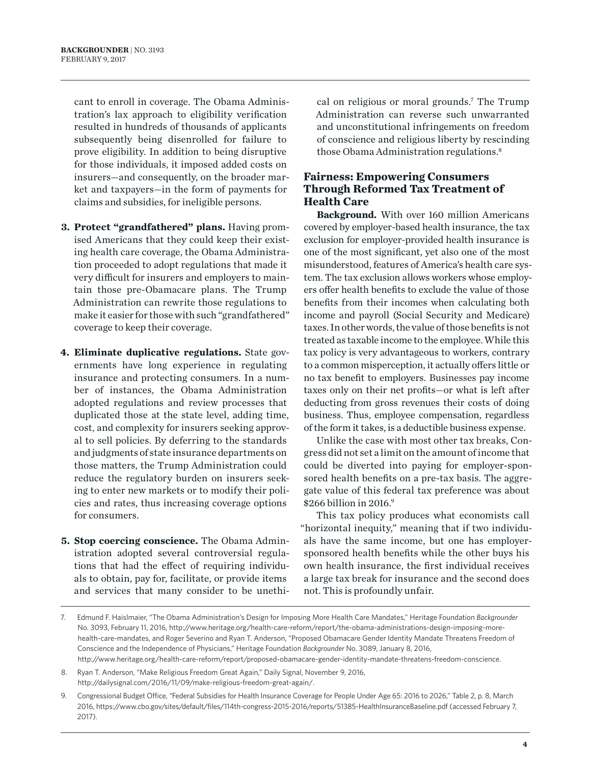cant to enroll in coverage. The Obama Administration's lax approach to eligibility verification resulted in hundreds of thousands of applicants subsequently being disenrolled for failure to prove eligibility. In addition to being disruptive for those individuals, it imposed added costs on insurers—and consequently, on the broader market and taxpayers—in the form of payments for claims and subsidies, for ineligible persons.

- **3. Protect "grandfathered" plans.** Having promised Americans that they could keep their existing health care coverage, the Obama Administration proceeded to adopt regulations that made it very difficult for insurers and employers to maintain those pre-Obamacare plans. The Trump Administration can rewrite those regulations to make it easier for those with such "grandfathered" coverage to keep their coverage.
- **4. Eliminate duplicative regulations.** State governments have long experience in regulating insurance and protecting consumers. In a number of instances, the Obama Administration adopted regulations and review processes that duplicated those at the state level, adding time, cost, and complexity for insurers seeking approval to sell policies. By deferring to the standards and judgments of state insurance departments on those matters, the Trump Administration could reduce the regulatory burden on insurers seeking to enter new markets or to modify their policies and rates, thus increasing coverage options for consumers.
- **5. Stop coercing conscience.** The Obama Administration adopted several controversial regulations that had the effect of requiring individuals to obtain, pay for, facilitate, or provide items and services that many consider to be unethi-

cal on religious or moral grounds.<sup>7</sup> The Trump Administration can reverse such unwarranted and unconstitutional infringements on freedom of conscience and religious liberty by rescinding those Obama Administration regulations.8

#### **Fairness: Empowering Consumers Through Reformed Tax Treatment of Health Care**

**Background.** With over 160 million Americans covered by employer-based health insurance, the tax exclusion for employer-provided health insurance is one of the most significant, yet also one of the most misunderstood, features of America's health care system. The tax exclusion allows workers whose employers offer health benefits to exclude the value of those benefits from their incomes when calculating both income and payroll (Social Security and Medicare) taxes. In other words, the value of those benefits is not treated as taxable income to the employee. While this tax policy is very advantageous to workers, contrary to a common misperception, it actually offers little or no tax benefit to employers. Businesses pay income taxes only on their net profits—or what is left after deducting from gross revenues their costs of doing business. Thus, employee compensation, regardless of the form it takes, is a deductible business expense.

Unlike the case with most other tax breaks, Congress did not set a limit on the amount of income that could be diverted into paying for employer-sponsored health benefits on a pre-tax basis. The aggregate value of this federal tax preference was about \$266 billion in 2016.<sup>9</sup>

This tax policy produces what economists call "horizontal inequity," meaning that if two individuals have the same income, but one has employersponsored health benefits while the other buys his own health insurance, the first individual receives a large tax break for insurance and the second does not. This is profoundly unfair.

<sup>7.</sup> Edmund F. Haislmaier, "The Obama Administration's Design for Imposing More Health Care Mandates," Heritage Foundation *Backgrounder* No. 3093, February 11, 2016, [http://www.heritage.org/health-care-reform/report/the-obama-administrations-design-imposing-more](http://www.heritage.org/health-care-reform/report/the-obama-administrations-design-imposing-more-health-care-mandates)[health-care-mandates](http://www.heritage.org/health-care-reform/report/the-obama-administrations-design-imposing-more-health-care-mandates), and Roger Severino and Ryan T. Anderson, "Proposed Obamacare Gender Identity Mandate Threatens Freedom of Conscience and the Independence of Physicians," Heritage Foundation *Backgrounder* No. 3089, January 8, 2016, [http://www.heritage.org/health-care-reform/report/proposed-obamacare-gender-identity-mandate-threatens-freedom-conscience.](http://www.heritage.org/health-care-reform/report/proposed-obamacare-gender-identity-mandate-threatens-freedom-conscience)

<sup>8.</sup> Ryan T. Anderson, "Make Religious Freedom Great Again," Daily Signal, November 9, 2016, <http://dailysignal.com/2016/11/09/make-religious-freedom-great-again/>.

<sup>9.</sup> Congressional Budget Office, "Federal Subsidies for Health Insurance Coverage for People Under Age 65: 2016 to 2026," Table 2, p. 8, March 2016, https://www.cbo.gov/sites/default/files/114th-congress-2015-2016/reports/51385-HealthInsuranceBaseline.pdf (accessed February 7, 2017).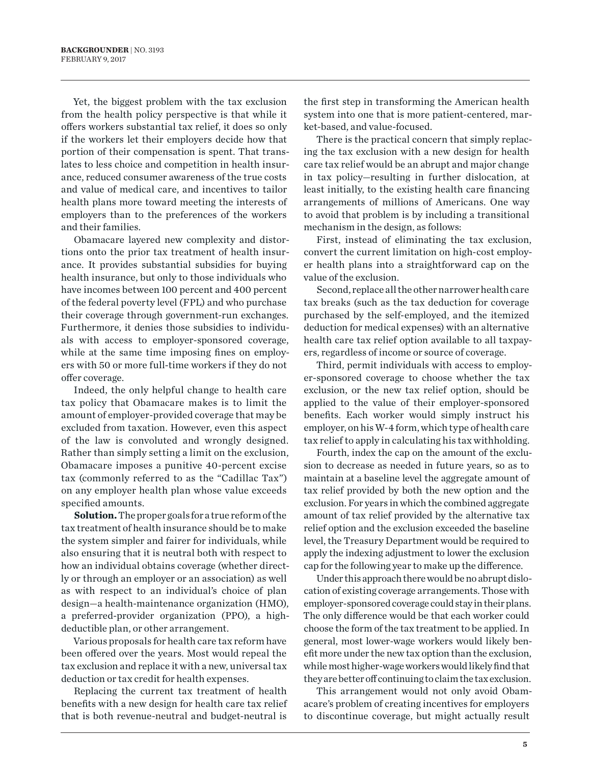Yet, the biggest problem with the tax exclusion from the health policy perspective is that while it offers workers substantial tax relief, it does so only if the workers let their employers decide how that portion of their compensation is spent. That translates to less choice and competition in health insurance, reduced consumer awareness of the true costs and value of medical care, and incentives to tailor health plans more toward meeting the interests of employers than to the preferences of the workers and their families.

Obamacare layered new complexity and distortions onto the prior tax treatment of health insurance. It provides substantial subsidies for buying health insurance, but only to those individuals who have incomes between 100 percent and 400 percent of the federal poverty level (FPL) and who purchase their coverage through government-run exchanges. Furthermore, it denies those subsidies to individuals with access to employer-sponsored coverage, while at the same time imposing fines on employers with 50 or more full-time workers if they do not offer coverage.

Indeed, the only helpful change to health care tax policy that Obamacare makes is to limit the amount of employer-provided coverage that may be excluded from taxation. However, even this aspect of the law is convoluted and wrongly designed. Rather than simply setting a limit on the exclusion, Obamacare imposes a punitive 40-percent excise tax (commonly referred to as the "Cadillac Tax") on any employer health plan whose value exceeds specified amounts.

**Solution.** The proper goals for a true reform of the tax treatment of health insurance should be to make the system simpler and fairer for individuals, while also ensuring that it is neutral both with respect to how an individual obtains coverage (whether directly or through an employer or an association) as well as with respect to an individual's choice of plan design—a health-maintenance organization (HMO), a preferred-provider organization (PPO), a highdeductible plan, or other arrangement.

Various proposals for health care tax reform have been offered over the years. Most would repeal the tax exclusion and replace it with a new, universal tax deduction or tax credit for health expenses.

Replacing the current tax treatment of health benefits with a new design for health care tax relief that is both revenue-neutral and budget-neutral is

the first step in transforming the American health system into one that is more patient-centered, market-based, and value-focused.

There is the practical concern that simply replacing the tax exclusion with a new design for health care tax relief would be an abrupt and major change in tax policy—resulting in further dislocation, at least initially, to the existing health care financing arrangements of millions of Americans. One way to avoid that problem is by including a transitional mechanism in the design, as follows:

First, instead of eliminating the tax exclusion, convert the current limitation on high-cost employer health plans into a straightforward cap on the value of the exclusion.

Second, replace all the other narrower health care tax breaks (such as the tax deduction for coverage purchased by the self-employed, and the itemized deduction for medical expenses) with an alternative health care tax relief option available to all taxpayers, regardless of income or source of coverage.

Third, permit individuals with access to employer-sponsored coverage to choose whether the tax exclusion, or the new tax relief option, should be applied to the value of their employer-sponsored benefits. Each worker would simply instruct his employer, on his W-4 form, which type of health care tax relief to apply in calculating his tax withholding.

Fourth, index the cap on the amount of the exclusion to decrease as needed in future years, so as to maintain at a baseline level the aggregate amount of tax relief provided by both the new option and the exclusion. For years in which the combined aggregate amount of tax relief provided by the alternative tax relief option and the exclusion exceeded the baseline level, the Treasury Department would be required to apply the indexing adjustment to lower the exclusion cap for the following year to make up the difference.

Under this approach there would be no abrupt dislocation of existing coverage arrangements. Those with employer-sponsored coverage could stay in their plans. The only difference would be that each worker could choose the form of the tax treatment to be applied. In general, most lower-wage workers would likely benefit more under the new tax option than the exclusion, while most higher-wage workers would likely find that they are better off continuing to claim the tax exclusion.

This arrangement would not only avoid Obamacare's problem of creating incentives for employers to discontinue coverage, but might actually result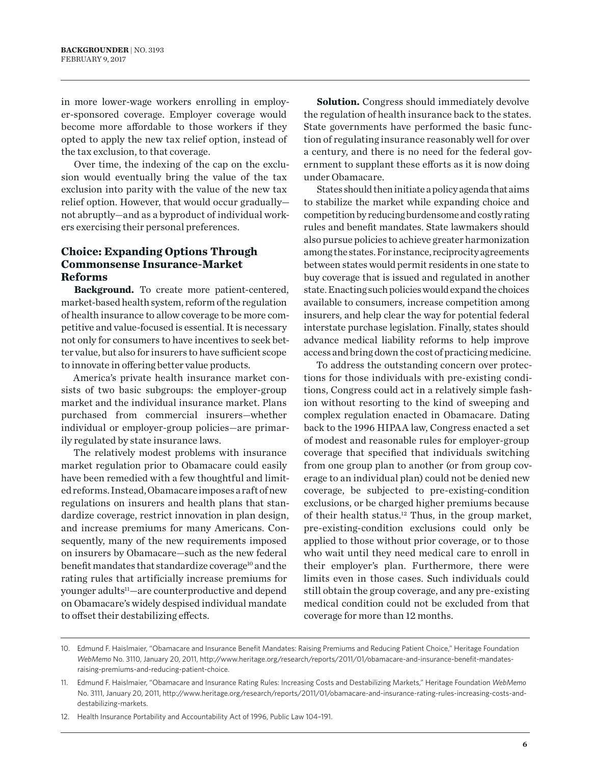in more lower-wage workers enrolling in employer-sponsored coverage. Employer coverage would become more affordable to those workers if they opted to apply the new tax relief option, instead of the tax exclusion, to that coverage.

Over time, the indexing of the cap on the exclusion would eventually bring the value of the tax exclusion into parity with the value of the new tax relief option. However, that would occur gradually not abruptly—and as a byproduct of individual workers exercising their personal preferences.

#### **Choice: Expanding Options Through Commonsense Insurance-Market Reforms**

**Background.** To create more patient-centered, market-based health system, reform of the regulation of health insurance to allow coverage to be more competitive and value-focused is essential. It is necessary not only for consumers to have incentives to seek better value, but also for insurers to have sufficient scope to innovate in offering better value products.

America's private health insurance market consists of two basic subgroups: the employer-group market and the individual insurance market. Plans purchased from commercial insurers—whether individual or employer-group policies—are primarily regulated by state insurance laws.

The relatively modest problems with insurance market regulation prior to Obamacare could easily have been remedied with a few thoughtful and limited reforms. Instead, Obamacare imposes a raft of new regulations on insurers and health plans that standardize coverage, restrict innovation in plan design, and increase premiums for many Americans. Consequently, many of the new requirements imposed on insurers by Obamacare—such as the new federal benefit mandates that standardize coverage<sup>10</sup> and the rating rules that artificially increase premiums for younger adults<sup>11</sup>—are counterproductive and depend on Obamacare's widely despised individual mandate to offset their destabilizing effects.

**Solution.** Congress should immediately devolve the regulation of health insurance back to the states. State governments have performed the basic function of regulating insurance reasonably well for over a century, and there is no need for the federal government to supplant these efforts as it is now doing under Obamacare.

States should then initiate a policy agenda that aims to stabilize the market while expanding choice and competition by reducing burdensome and costly rating rules and benefit mandates. State lawmakers should also pursue policies to achieve greater harmonization among the states. For instance, reciprocity agreements between states would permit residents in one state to buy coverage that is issued and regulated in another state. Enacting such policies would expand the choices available to consumers, increase competition among insurers, and help clear the way for potential federal interstate purchase legislation. Finally, states should advance medical liability reforms to help improve access and bring down the cost of practicing medicine.

To address the outstanding concern over protections for those individuals with pre-existing conditions, Congress could act in a relatively simple fashion without resorting to the kind of sweeping and complex regulation enacted in Obamacare. Dating back to the 1996 HIPAA law, Congress enacted a set of modest and reasonable rules for employer-group coverage that specified that individuals switching from one group plan to another (or from group coverage to an individual plan) could not be denied new coverage, be subjected to pre-existing-condition exclusions, or be charged higher premiums because of their health status.12 Thus, in the group market, pre-existing-condition exclusions could only be applied to those without prior coverage, or to those who wait until they need medical care to enroll in their employer's plan. Furthermore, there were limits even in those cases. Such individuals could still obtain the group coverage, and any pre-existing medical condition could not be excluded from that coverage for more than 12 months.

<sup>10.</sup> Edmund F. Haislmaier, "Obamacare and Insurance Benefit Mandates: Raising Premiums and Reducing Patient Choice," Heritage Foundation *WebMemo* No. 3110, January 20, 2011, [http://www.heritage.org/research/reports/2011/01/obamacare-and-insurance-benefit-mandates](http://www.heritage.org/research/reports/2011/01/obamacare-and-insurance-benefit-mandates-raising-premiums-and-reducing-patient-choice)[raising-premiums-and-reducing-patient-choice](http://www.heritage.org/research/reports/2011/01/obamacare-and-insurance-benefit-mandates-raising-premiums-and-reducing-patient-choice).

<sup>11.</sup> Edmund F. Haislmaier, "Obamacare and Insurance Rating Rules: Increasing Costs and Destabilizing Markets," Heritage Foundation *WebMemo* No. 3111, January 20, 2011, [http://www.heritage.org/research/reports/2011/01/obamacare-and-insurance-rating-rules-increasing-costs-and](http://www.heritage.org/research/reports/2011/01/obamacare-and-insurance-rating-rules-increasing-costs-and-destabilizing-markets)[destabilizing-markets.](http://www.heritage.org/research/reports/2011/01/obamacare-and-insurance-rating-rules-increasing-costs-and-destabilizing-markets)

<sup>12.</sup> Health Insurance Portability and Accountability Act of 1996, Public Law 104–191.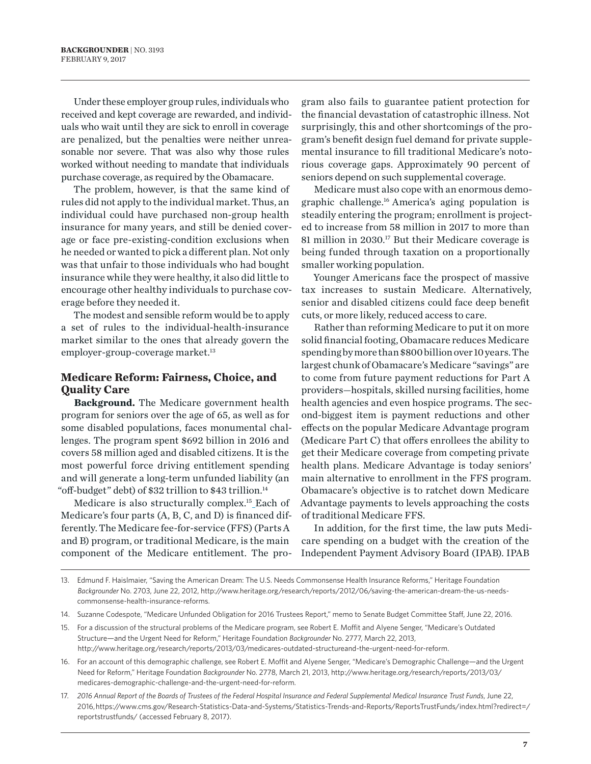Under these employer group rules, individuals who received and kept coverage are rewarded, and individuals who wait until they are sick to enroll in coverage are penalized, but the penalties were neither unreasonable nor severe. That was also why those rules worked without needing to mandate that individuals purchase coverage, as required by the Obamacare.

The problem, however, is that the same kind of rules did not apply to the individual market. Thus, an individual could have purchased non-group health insurance for many years, and still be denied coverage or face pre-existing-condition exclusions when he needed or wanted to pick a different plan. Not only was that unfair to those individuals who had bought insurance while they were healthy, it also did little to encourage other healthy individuals to purchase coverage before they needed it.

The modest and sensible reform would be to apply a set of rules to the individual-health-insurance market similar to the ones that already govern the employer-group-coverage market.<sup>13</sup>

#### **Medicare Reform: Fairness, Choice, and Quality Care**

**Background.** The Medicare government health program for seniors over the age of 65, as well as for some disabled populations, faces monumental challenges. The program spent \$692 billion in 2016 and covers 58 million aged and disabled citizens. It is the most powerful force driving entitlement spending and will generate a long-term unfunded liability (an "off-budget" debt) of \$32 trillion to \$43 trillion.14

Medicare is also structurally complex.15 Each of Medicare's four parts (A, B, C, and D) is financed differently. The Medicare fee-for-service (FFS) (Parts A and B) program, or traditional Medicare, is the main component of the Medicare entitlement. The program also fails to guarantee patient protection for the financial devastation of catastrophic illness. Not surprisingly, this and other shortcomings of the program's benefit design fuel demand for private supplemental insurance to fill traditional Medicare's notorious coverage gaps. Approximately 90 percent of seniors depend on such supplemental coverage.

Medicare must also cope with an enormous demographic challenge.16 America's aging population is steadily entering the program; enrollment is projected to increase from 58 million in 2017 to more than 81 million in 2030.<sup>17</sup> But their Medicare coverage is being funded through taxation on a proportionally smaller working population.

Younger Americans face the prospect of massive tax increases to sustain Medicare. Alternatively, senior and disabled citizens could face deep benefit cuts, or more likely, reduced access to care.

Rather than reforming Medicare to put it on more solid financial footing, Obamacare reduces Medicare spending by more than \$800 billion over 10 years. The largest chunk of Obamacare's Medicare "savings" are to come from future payment reductions for Part A providers—hospitals, skilled nursing facilities, home health agencies and even hospice programs. The second-biggest item is payment reductions and other effects on the popular Medicare Advantage program (Medicare Part C) that offers enrollees the ability to get their Medicare coverage from competing private health plans. Medicare Advantage is today seniors' main alternative to enrollment in the FFS program. Obamacare's objective is to ratchet down Medicare Advantage payments to levels approaching the costs of traditional Medicare FFS.

In addition, for the first time, the law puts Medicare spending on a budget with the creation of the Independent Payment Advisory Board (IPAB). IPAB

<sup>13.</sup> Edmund F. Haislmaier, "Saving the American Dream: The U.S. Needs Commonsense Health Insurance Reforms," Heritage Foundation *Backgrounder* No. 2703, June 22, 2012, [http://www.heritage.org/research/reports/2012/06/saving-the-american-dream-the-us-needs](http://www.heritage.org/research/reports/2012/06/saving-the-american-dream-the-us-needs-commonsense-health-insurance-reforms)[commonsense-health-insurance-reforms.](http://www.heritage.org/research/reports/2012/06/saving-the-american-dream-the-us-needs-commonsense-health-insurance-reforms)

<sup>14.</sup> Suzanne Codespote, "Medicare Unfunded Obligation for 2016 Trustees Report," memo to Senate Budget Committee Staff, June 22, 2016.

<sup>15.</sup> For a discussion of the structural problems of the Medicare program, see Robert E. Moffit and Alyene Senger, "Medicare's Outdated Structure—and the Urgent Need for Reform," Heritage Foundation *Backgrounder* No. 2777, March 22, 2013, [http://www.heritage.org/research/reports/2013/03/medicares-outdated-structureand-the-urgent-need-for-reform.](http://www.heritage.org/research/reports/2013/03/medicares-outdated-structureand-the-urgent-need-for-reform)

<sup>16.</sup> For an account of this demographic challenge, see Robert E. Moffit and Alyene Senger, "Medicare's Demographic Challenge—and the Urgent Need for Reform," Heritage Foundation *Backgrounder* No. 2778, March 21, 2013, [http://www.heritage.org/research/reports/2013/03/](http://www.heritage.org/research/reports/2013/03/medicares-demographic-challenge-and-the-urgent-need-for-reform) [medicares-demographic-challenge-and-the-urgent-need-for-reform](http://www.heritage.org/research/reports/2013/03/medicares-demographic-challenge-and-the-urgent-need-for-reform).

<sup>17.</sup> *2016 Annual Report of the Boards of Trustees of the Federal Hospital Insurance and Federal Supplemental Medical Insurance Trust Funds*, June 22, 2016, [https://www.cms.gov/Research-Statistics-Data-and-Systems/Statistics-Trends-and-Reports/ReportsTrustFunds/index.html?redirect=/](https://www.cms.gov/Research-Statistics-Data-and-Systems/Statistics-Trends-and-Reports/ReportsTrustFunds/index.html?redirect=/reportstrustfunds/) [reportstrustfunds/](https://www.cms.gov/Research-Statistics-Data-and-Systems/Statistics-Trends-and-Reports/ReportsTrustFunds/index.html?redirect=/reportstrustfunds/) (accessed February 8, 2017).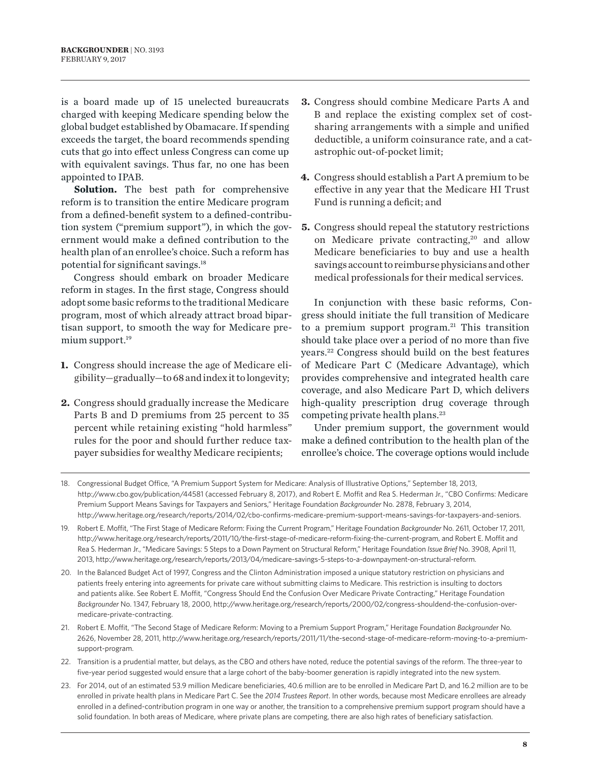is a board made up of 15 unelected bureaucrats charged with keeping Medicare spending below the global budget established by Obamacare. If spending exceeds the target, the board recommends spending cuts that go into effect unless Congress can come up with equivalent savings. Thus far, no one has been appointed to IPAB.

**Solution.** The best path for comprehensive reform is to transition the entire Medicare program from a defined-benefit system to a defined-contribution system ("premium support"), in which the government would make a defined contribution to the health plan of an enrollee's choice. Such a reform has potential for significant savings.18

Congress should embark on broader Medicare reform in stages. In the first stage, Congress should adopt some basic reforms to the traditional Medicare program, most of which already attract broad bipartisan support, to smooth the way for Medicare premium support.<sup>19</sup>

- **1.** Congress should increase the age of Medicare eligibility—gradually—to 68 and index it to longevity;
- **2.** Congress should gradually increase the Medicare Parts B and D premiums from 25 percent to 35 percent while retaining existing "hold harmless" rules for the poor and should further reduce taxpayer subsidies for wealthy Medicare recipients;
- **3.** Congress should combine Medicare Parts A and B and replace the existing complex set of costsharing arrangements with a simple and unified deductible, a uniform coinsurance rate, and a catastrophic out-of-pocket limit;
- **4.** Congress should establish a Part A premium to be effective in any year that the Medicare HI Trust Fund is running a deficit; and
- **5.** Congress should repeal the statutory restrictions on Medicare private contracting,<sup>20</sup> and allow Medicare beneficiaries to buy and use a health savings account to reimburse physicians and other medical professionals for their medical services.

In conjunction with these basic reforms, Congress should initiate the full transition of Medicare to a premium support program. $21$  This transition should take place over a period of no more than five years.22 Congress should build on the best features of Medicare Part C (Medicare Advantage), which provides comprehensive and integrated health care coverage, and also Medicare Part D, which delivers high-quality prescription drug coverage through competing private health plans.23

Under premium support, the government would make a defined contribution to the health plan of the enrollee's choice. The coverage options would include

- 22. Transition is a prudential matter, but delays, as the CBO and others have noted, reduce the potential savings of the reform. The three-year to five-year period suggested would ensure that a large cohort of the baby-boomer generation is rapidly integrated into the new system.
- 23. For 2014, out of an estimated 53.9 million Medicare beneficiaries, 40.6 million are to be enrolled in Medicare Part D, and 16.2 million are to be enrolled in private health plans in Medicare Part C. See the *2014 Trustees Report*. In other words, because most Medicare enrollees are already enrolled in a defined-contribution program in one way or another, the transition to a comprehensive premium support program should have a solid foundation. In both areas of Medicare, where private plans are competing, there are also high rates of beneficiary satisfaction.

<sup>18.</sup> Congressional Budget Office, "A Premium Support System for Medicare: Analysis of Illustrative Options," September 18, 2013, [http://www.cbo.gov/publication/44581](http://www.cbo.gov/publication/44581%20) (accessed February 8, 2017), and Robert E. Moffit and Rea S. Hederman Jr., "CBO Confirms: Medicare Premium Support Means Savings for Taxpayers and Seniors," Heritage Foundation *Backgrounder* No. 2878, February 3, 2014, <http://www.heritage.org/research/reports/2014/02/cbo-confirms-medicare-premium-support-means-savings-for-taxpayers-and-seniors>.

<sup>19.</sup> Robert E. Moffit, "The First Stage of Medicare Reform: Fixing the Current Program," Heritage Foundation *Backgrounder* No. 2611, October 17, 2011, <http://www.heritage.org/research/reports/2011/10/the-first-stage-of-medicare-reform-fixing-the-current-program>, and Robert E. Moffit and Rea S. Hederman Jr., "Medicare Savings: 5 Steps to a Down Payment on Structural Reform," Heritage Foundation *Issue Brief* No. 3908, April 11, 2013,<http://www.heritage.org/research/reports/2013/04/medicare-savings-5-steps-to-a-downpayment-on-structural-reform>.

<sup>20.</sup> In the Balanced Budget Act of 1997, Congress and the Clinton Administration imposed a unique statutory restriction on physicians and patients freely entering into agreements for private care without submitting claims to Medicare. This restriction is insulting to doctors and patients alike. See Robert E. Moffit, "Congress Should End the Confusion Over Medicare Private Contracting," Heritage Foundation *Backgrounder* No. 1347, February 18, 2000, [http://www.heritage.org/research/reports/2000/02/congress-shouldend-the-confusion-over](http://www.heritage.org/research/reports/2000/02/congress-shouldend-the-confusion-over-medicare-private-contracting)[medicare-private-contracting](http://www.heritage.org/research/reports/2000/02/congress-shouldend-the-confusion-over-medicare-private-contracting).

<sup>21.</sup> Robert E. Moffit, "The Second Stage of Medicare Reform: Moving to a Premium Support Program," Heritage Foundation *Backgrounde*r No. 2626, November 28, 2011, [http://www.heritage.org/research/reports/2011/11/the-second-stage-of-medicare-reform-moving-to-a-premium](http://www.heritage.org/research/reports/2011/11/the-second-stage-of-medicare-reform-moving-to-a-premium-support-program)[support-program.](http://www.heritage.org/research/reports/2011/11/the-second-stage-of-medicare-reform-moving-to-a-premium-support-program)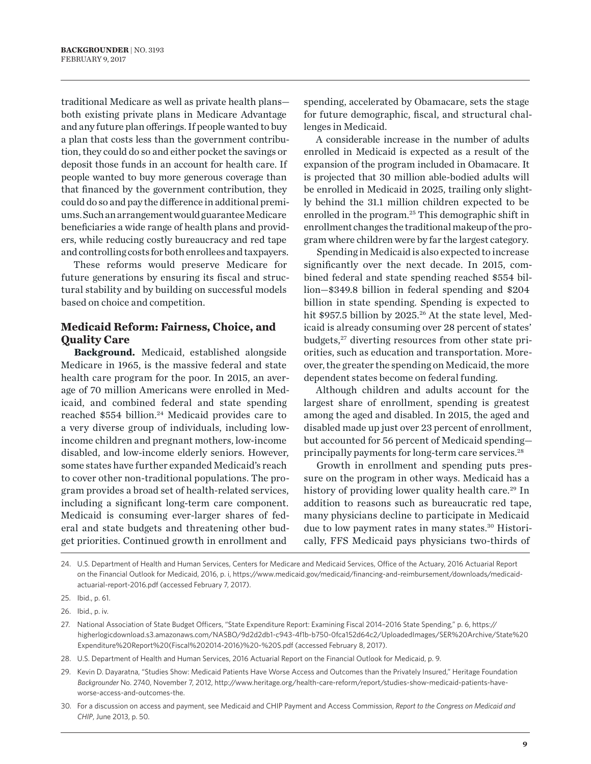traditional Medicare as well as private health plans both existing private plans in Medicare Advantage and any future plan offerings. If people wanted to buy a plan that costs less than the government contribution, they could do so and either pocket the savings or deposit those funds in an account for health care. If people wanted to buy more generous coverage than that financed by the government contribution, they could do so and pay the difference in additional premiums. Such an arrangement would guarantee Medicare beneficiaries a wide range of health plans and providers, while reducing costly bureaucracy and red tape and controlling costs for both enrollees and taxpayers.

These reforms would preserve Medicare for future generations by ensuring its fiscal and structural stability and by building on successful models based on choice and competition.

#### **Medicaid Reform: Fairness, Choice, and Quality Care**

**Background.** Medicaid, established alongside Medicare in 1965, is the massive federal and state health care program for the poor. In 2015, an average of 70 million Americans were enrolled in Medicaid, and combined federal and state spending reached \$554 billion.<sup>24</sup> Medicaid provides care to a very diverse group of individuals, including lowincome children and pregnant mothers, low-income disabled, and low-income elderly seniors. However, some states have further expanded Medicaid's reach to cover other non-traditional populations. The program provides a broad set of health-related services, including a significant long-term care component. Medicaid is consuming ever-larger shares of federal and state budgets and threatening other budget priorities. Continued growth in enrollment and

spending, accelerated by Obamacare, sets the stage for future demographic, fiscal, and structural challenges in Medicaid.

A considerable increase in the number of adults enrolled in Medicaid is expected as a result of the expansion of the program included in Obamacare. It is projected that 30 million able-bodied adults will be enrolled in Medicaid in 2025, trailing only slightly behind the 31.1 million children expected to be enrolled in the program.<sup>25</sup> This demographic shift in enrollment changes the traditional makeup of the program where children were by far the largest category.

Spending in Medicaid is also expected to increase significantly over the next decade. In 2015, combined federal and state spending reached \$554 billion—\$349.8 billion in federal spending and \$204 billion in state spending. Spending is expected to hit \$957.5 billion by 2025.<sup>26</sup> At the state level, Medicaid is already consuming over 28 percent of states' budgets,<sup>27</sup> diverting resources from other state priorities, such as education and transportation. Moreover, the greater the spending on Medicaid, the more dependent states become on federal funding.

Although children and adults account for the largest share of enrollment, spending is greatest among the aged and disabled. In 2015, the aged and disabled made up just over 23 percent of enrollment, but accounted for 56 percent of Medicaid spending principally payments for long-term care services.<sup>28</sup>

Growth in enrollment and spending puts pressure on the program in other ways. Medicaid has a history of providing lower quality health care.<sup>29</sup> In addition to reasons such as bureaucratic red tape, many physicians decline to participate in Medicaid due to low payment rates in many states.<sup>30</sup> Historically, FFS Medicaid pays physicians two-thirds of

<sup>24.</sup> U.S. Department of Health and Human Services, Centers for Medicare and Medicaid Services, Office of the Actuary, 2016 Actuarial Report on the Financial Outlook for Medicaid, 2016, p. i, [https://www.medicaid.gov/medicaid/financing-and-reimbursement/downloads/medicaid](https://www.medicaid.gov/medicaid/financing-and-reimbursement/downloads/medicaid-actuarial-report-2016.pdf%20)[actuarial-report-2016.pdf](https://www.medicaid.gov/medicaid/financing-and-reimbursement/downloads/medicaid-actuarial-report-2016.pdf%20) (accessed February 7, 2017).

<sup>25.</sup> Ibid., p. 61.

<sup>26.</sup> Ibid., p. iv.

<sup>27.</sup> National Association of State Budget Officers, "State Expenditure Report: Examining Fiscal 2014–2016 State Spending," p. 6, [https://](https://higherlogicdownload.s3.amazonaws.com/NASBO/9d2d2db1-c943-4f1b-b750-0fca152d64c2/UploadedImages/SER%20Archive/State%20Expenditure%20Report%20(Fiscal%202014-2016)%20-%20S.pdf) [higherlogicdownload.s3.amazonaws.com/NASBO/9d2d2db1-c943-4f1b-b750-0fca152d64c2/UploadedImages/SER%20Archive/State%20](https://higherlogicdownload.s3.amazonaws.com/NASBO/9d2d2db1-c943-4f1b-b750-0fca152d64c2/UploadedImages/SER%20Archive/State%20Expenditure%20Report%20(Fiscal%202014-2016)%20-%20S.pdf) [Expenditure%20Report%20\(Fiscal%202014-2016\)%20-%20S.pdf](https://higherlogicdownload.s3.amazonaws.com/NASBO/9d2d2db1-c943-4f1b-b750-0fca152d64c2/UploadedImages/SER%20Archive/State%20Expenditure%20Report%20(Fiscal%202014-2016)%20-%20S.pdf) (accessed February 8, 2017).

<sup>28.</sup> U.S. Department of Health and Human Services, 2016 Actuarial Report on the Financial Outlook for Medicaid, p. 9.

<sup>29.</sup> Kevin D. Dayaratna, "Studies Show: Medicaid Patients Have Worse Access and Outcomes than the Privately Insured," Heritage Foundation *Backgrounder* No. 2740, November 7, 2012, [http://www.heritage.org/health-care-reform/report/studies-show-medicaid-patients-have](http://www.heritage.org/health-care-reform/report/studies-show-medicaid-patients-have-worse-access-and-outcomes-the)[worse-access-and-outcomes-the.](http://www.heritage.org/health-care-reform/report/studies-show-medicaid-patients-have-worse-access-and-outcomes-the)

<sup>30.</sup> For a discussion on access and payment, see Medicaid and CHIP Payment and Access Commission, *Report to the Congress on Medicaid and CHIP*, June 2013, p. 50.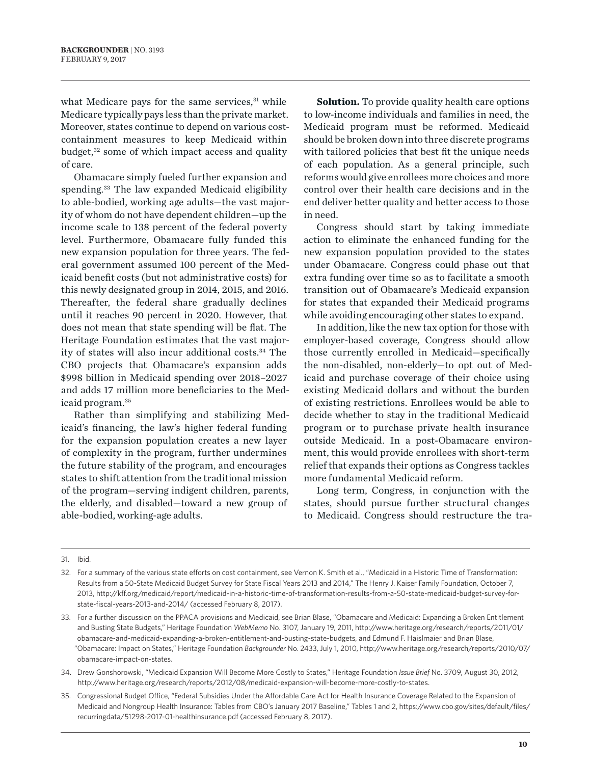what Medicare pays for the same services, $31$  while Medicare typically pays less than the private market. Moreover, states continue to depend on various costcontainment measures to keep Medicaid within budget, $32$  some of which impact access and quality of care.

Obamacare simply fueled further expansion and spending.33 The law expanded Medicaid eligibility to able-bodied, working age adults—the vast majority of whom do not have dependent children—up the income scale to 138 percent of the federal poverty level. Furthermore, Obamacare fully funded this new expansion population for three years. The federal government assumed 100 percent of the Medicaid benefit costs (but not administrative costs) for this newly designated group in 2014, 2015, and 2016. Thereafter, the federal share gradually declines until it reaches 90 percent in 2020. However, that does not mean that state spending will be flat. The Heritage Foundation estimates that the vast majority of states will also incur additional costs.34 The CBO projects that Obamacare's expansion adds \$998 billion in Medicaid spending over 2018–2027 and adds 17 million more beneficiaries to the Medicaid program.35

Rather than simplifying and stabilizing Medicaid's financing, the law's higher federal funding for the expansion population creates a new layer of complexity in the program, further undermines the future stability of the program, and encourages states to shift attention from the traditional mission of the program—serving indigent children, parents, the elderly, and disabled—toward a new group of able-bodied, working-age adults.

**Solution.** To provide quality health care options to low-income individuals and families in need, the Medicaid program must be reformed. Medicaid should be broken down into three discrete programs with tailored policies that best fit the unique needs of each population. As a general principle, such reforms would give enrollees more choices and more control over their health care decisions and in the end deliver better quality and better access to those in need.

Congress should start by taking immediate action to eliminate the enhanced funding for the new expansion population provided to the states under Obamacare. Congress could phase out that extra funding over time so as to facilitate a smooth transition out of Obamacare's Medicaid expansion for states that expanded their Medicaid programs while avoiding encouraging other states to expand.

In addition, like the new tax option for those with employer-based coverage, Congress should allow those currently enrolled in Medicaid—specifically the non-disabled, non-elderly—to opt out of Medicaid and purchase coverage of their choice using existing Medicaid dollars and without the burden of existing restrictions. Enrollees would be able to decide whether to stay in the traditional Medicaid program or to purchase private health insurance outside Medicaid. In a post-Obamacare environment, this would provide enrollees with short-term relief that expands their options as Congress tackles more fundamental Medicaid reform.

Long term, Congress, in conjunction with the states, should pursue further structural changes to Medicaid. Congress should restructure the tra-

- 34. Drew Gonshorowski, "Medicaid Expansion Will Become More Costly to States," Heritage Foundation *Issue Brief* No. 3709, August 30, 2012, http://www.heritage.org/research/reports/2012/08/medicaid-expansion-will-become-more-costly-to-states.
- 35. Congressional Budget Office, "Federal Subsidies Under the Affordable Care Act for Health Insurance Coverage Related to the Expansion of Medicaid and Nongroup Health Insurance: Tables from CBO's January 2017 Baseline," Tables 1 and 2, https://www.cbo.gov/sites/default/files/ recurringdata/51298-2017-01-healthinsurance.pdf (accessed February 8, 2017).

<sup>31.</sup> Ibid.

<sup>32.</sup> For a summary of the various state efforts on cost containment, see Vernon K. Smith et al., "Medicaid in a Historic Time of Transformation: Results from a 50-State Medicaid Budget Survey for State Fiscal Years 2013 and 2014," The Henry J. Kaiser Family Foundation, October 7, 2013, http://kff.org/medicaid/report/medicaid-in-a-historic-time-of-transformation-results-from-a-50-state-medicaid-budget-survey-forstate-fiscal-years-2013-and-2014/ (accessed February 8, 2017).

<sup>33.</sup> For a further discussion on the PPACA provisions and Medicaid, see Brian Blase, "Obamacare and Medicaid: Expanding a Broken Entitlement and Busting State Budgets," Heritage Foundation *WebMemo* No. 3107, January 19, 2011, http://www.heritage.org/research/reports/2011/01/ obamacare-and-medicaid-expanding-a-broken-entitlement-and-busting-state-budgets, and Edmund F. Haislmaier and Brian Blase, "Obamacare: Impact on States," Heritage Foundation *Backgrounder* No. 2433, July 1, 2010, http://www.heritage.org/research/reports/2010/07/ obamacare-impact-on-states.